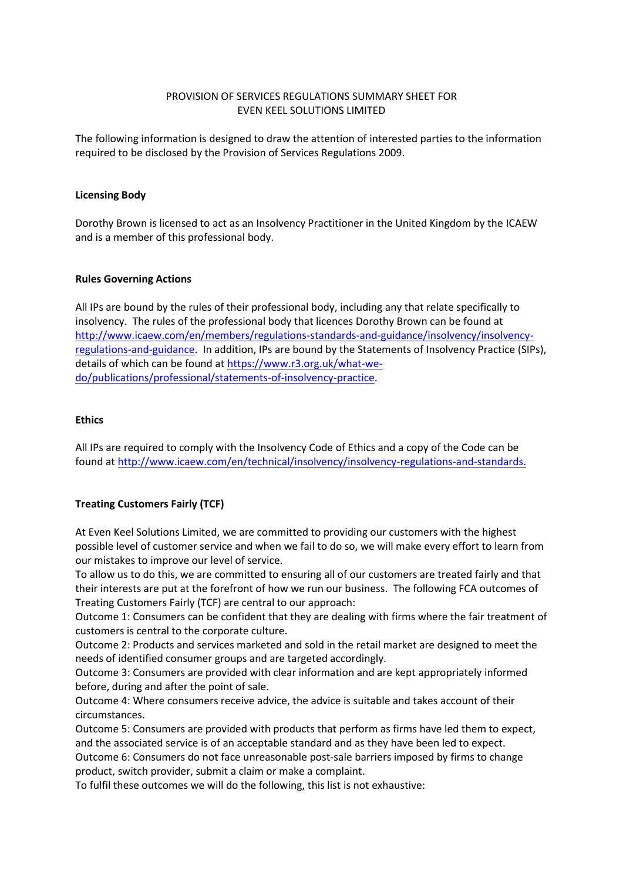## PROVISION OF SERVICES REGULATIONS SUMMARY SHEET FOR EVEN KEEL SOLUTIONS LIMITED

The following information is designed to draw the attention of interested parties to the information required to be disclosed by the Provision of Services Regulations 2009.

## **Licensing Body**

Dorothy Brown is licensed to act as an Insolvency Practitioner in the United Kingdom by the ICAEW and is a member of this professional body.

## **Rules Governing Actions**

All IPs are bound by the rules of their professional body, including any that relate specifically to insolvency. The rules of the professional body that licences Dorothy Brown can be found at [http://www.icaew.com/en/members/regulations-standards-and-guidance/insolvency/insolvency](http://www.icaew.com/en/members/regulations-standards-and-guidance/insolvency/insolvency-regulations-and-guidance)[regulations-and-guidance.](http://www.icaew.com/en/members/regulations-standards-and-guidance/insolvency/insolvency-regulations-and-guidance) In addition, IPs are bound by the Statements of Insolvency Practice (SIPs), details of which can be found at [https://www.r3.org.uk/what-we](https://www.r3.org.uk/what-we-do/publications/professional/statements-of-insolvency-practice)[do/publications/professional/statements-of-insolvency-practice.](https://www.r3.org.uk/what-we-do/publications/professional/statements-of-insolvency-practice)

#### **Ethics**

All IPs are required to comply with the Insolvency Code of Ethics and a copy of the Code can be found a[t http://www.icaew.com/en/technical/insolvency/insolvency-regulations-and-standards.](http://www.icaew.com/en/technical/insolvency/insolvency-regulations-and-standards)

## **Treating Customers Fairly (TCF)**

At Even Keel Solutions Limited, we are committed to providing our customers with the highest possible level of customer service and when we fail to do so, we will make every effort to learn from our mistakes to improve our level of service.

To allow us to do this, we are committed to ensuring all of our customers are treated fairly and that their interests are put at the forefront of how we run our business. The following FCA outcomes of Treating Customers Fairly (TCF) are central to our approach:

Outcome 1: Consumers can be confident that they are dealing with firms where the fair treatment of customers is central to the corporate culture.

Outcome 2: Products and services marketed and sold in the retail market are designed to meet the needs of identified consumer groups and are targeted accordingly.

Outcome 3: Consumers are provided with clear information and are kept appropriately informed before, during and after the point of sale.

Outcome 4: Where consumers receive advice, the advice is suitable and takes account of their circumstances.

Outcome 5: Consumers are provided with products that perform as firms have led them to expect, and the associated service is of an acceptable standard and as they have been led to expect.

Outcome 6: Consumers do not face unreasonable post-sale barriers imposed by firms to change product, switch provider, submit a claim or make a complaint.

To fulfil these outcomes we will do the following, this list is not exhaustive: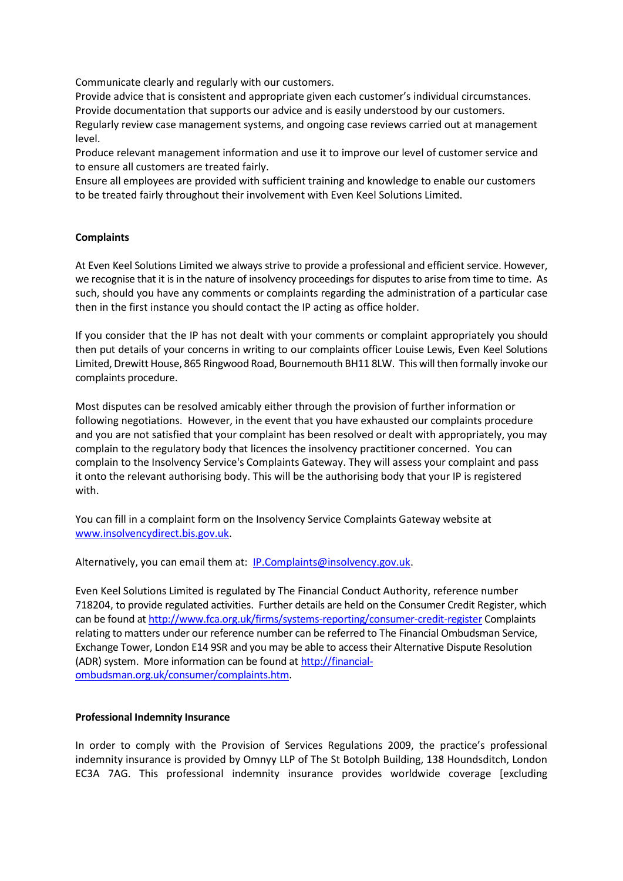Communicate clearly and regularly with our customers.

Provide advice that is consistent and appropriate given each customer's individual circumstances. Provide documentation that supports our advice and is easily understood by our customers.

Regularly review case management systems, and ongoing case reviews carried out at management level.

Produce relevant management information and use it to improve our level of customer service and to ensure all customers are treated fairly.

Ensure all employees are provided with sufficient training and knowledge to enable our customers to be treated fairly throughout their involvement with Even Keel Solutions Limited.

## **Complaints**

At Even Keel Solutions Limited we always strive to provide a professional and efficient service. However, we recognise that it is in the nature of insolvency proceedings for disputes to arise from time to time. As such, should you have any comments or complaints regarding the administration of a particular case then in the first instance you should contact the IP acting as office holder.

If you consider that the IP has not dealt with your comments or complaint appropriately you should then put details of your concerns in writing to our complaints officer Louise Lewis, Even Keel Solutions Limited, Drewitt House, 865 Ringwood Road, Bournemouth BH11 8LW. This will then formally invoke our complaints procedure.

Most disputes can be resolved amicably either through the provision of further information or following negotiations. However, in the event that you have exhausted our complaints procedure and you are not satisfied that your complaint has been resolved or dealt with appropriately, you may complain to the regulatory body that licences the insolvency practitioner concerned. You can complain to the Insolvency Service's Complaints Gateway. They will assess your complaint and pass it onto the relevant authorising body. This will be the authorising body that your IP is registered with.

You can fill in a complaint form on the Insolvency Service Complaints Gateway website at [www.insolvencydirect.bis.gov.uk.](https://www.insolvencydirect.bis.gov.uk/ExternalOnlineForms/OnlineComplaint.aspx)

Alternatively, you can email them at: **IP.Complaints@insolvency.gov.uk.** 

Even Keel Solutions Limited is regulated by The Financial Conduct Authority, reference number 718204, to provide regulated activities. Further details are held on the Consumer Credit Register, which can be found at <http://www.fca.org.uk/firms/systems-reporting/consumer-credit-register> Complaints relating to matters under our reference number can be referred to The Financial Ombudsman Service, Exchange Tower, London E14 9SR and you may be able to access their Alternative Dispute Resolution (ADR) system. More information can be found at [http://financial](http://financial-ombudsman.org.uk/consumer/complaints.htm)[ombudsman.org.uk/consumer/complaints.htm.](http://financial-ombudsman.org.uk/consumer/complaints.htm)

#### **Professional Indemnity Insurance**

In order to comply with the Provision of Services Regulations 2009, the practice's professional indemnity insurance is provided by Omnyy LLP of The St Botolph Building, 138 Houndsditch, London EC3A 7AG. This professional indemnity insurance provides worldwide coverage [excluding